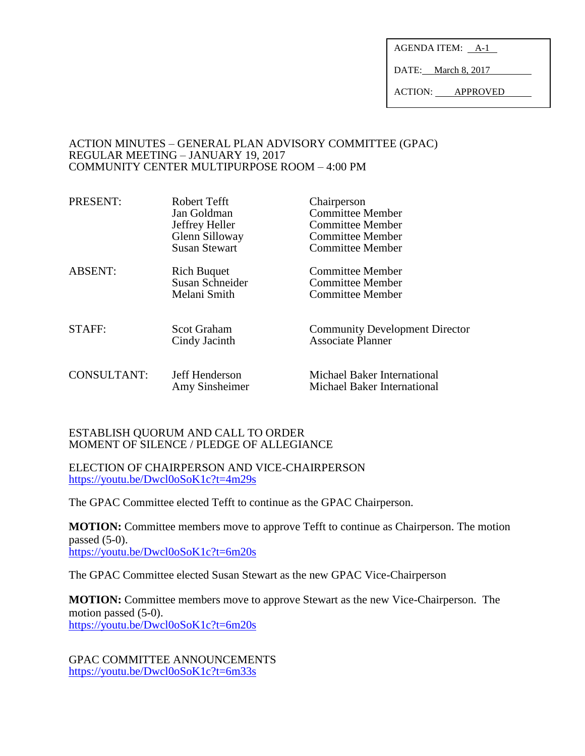AGENDA ITEM: A-1

DATE: March 8, 2017

ACTION: APPROVED

### ACTION MINUTES – GENERAL PLAN ADVISORY COMMITTEE (GPAC) REGULAR MEETING – JANUARY 19, 2017 COMMUNITY CENTER MULTIPURPOSE ROOM – 4:00 PM

| PRESENT:           | Robert Tefft<br>Jan Goldman<br>Jeffrey Heller<br>Glenn Silloway<br><b>Susan Stewart</b> | Chairperson<br><b>Committee Member</b><br><b>Committee Member</b><br><b>Committee Member</b><br><b>Committee Member</b> |
|--------------------|-----------------------------------------------------------------------------------------|-------------------------------------------------------------------------------------------------------------------------|
| <b>ABSENT:</b>     | <b>Rich Buquet</b><br>Susan Schneider<br>Melani Smith                                   | <b>Committee Member</b><br><b>Committee Member</b><br>Committee Member                                                  |
| <b>STAFF:</b>      | Scot Graham<br>Cindy Jacinth                                                            | <b>Community Development Director</b><br><b>Associate Planner</b>                                                       |
| <b>CONSULTANT:</b> | Jeff Henderson<br>Amy Sinsheimer                                                        | Michael Baker International<br>Michael Baker International                                                              |

## ESTABLISH QUORUM AND CALL TO ORDER MOMENT OF SILENCE / PLEDGE OF ALLEGIANCE

ELECTION OF CHAIRPERSON AND VICE-CHAIRPERSON <https://youtu.be/Dwcl0oSoK1c?t=4m29s>

The GPAC Committee elected Tefft to continue as the GPAC Chairperson.

**MOTION:** Committee members move to approve Tefft to continue as Chairperson. The motion passed  $(5-0)$ . <https://youtu.be/Dwcl0oSoK1c?t=6m20s>

The GPAC Committee elected Susan Stewart as the new GPAC Vice-Chairperson

**MOTION:** Committee members move to approve Stewart as the new Vice-Chairperson. The motion passed (5-0). <https://youtu.be/Dwcl0oSoK1c?t=6m20s>

GPAC COMMITTEE ANNOUNCEMENTS <https://youtu.be/Dwcl0oSoK1c?t=6m33s>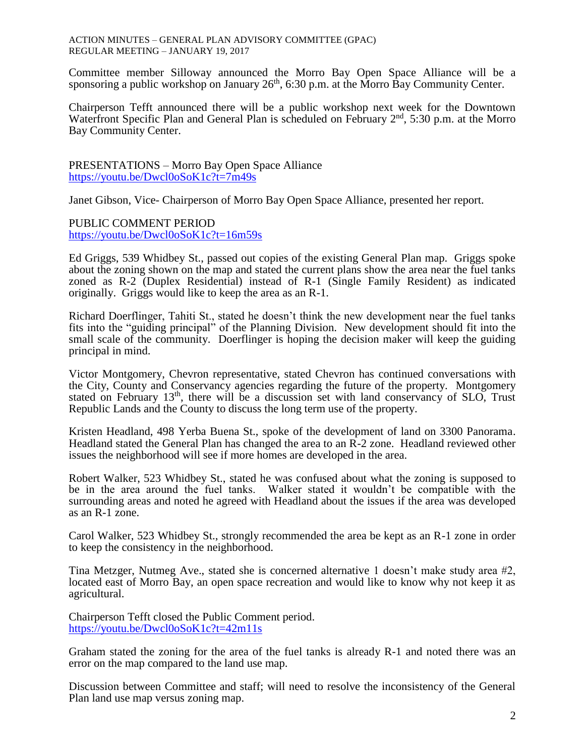ACTION MINUTES – GENERAL PLAN ADVISORY COMMITTEE (GPAC) REGULAR MEETING – JANUARY 19, 2017

Committee member Silloway announced the Morro Bay Open Space Alliance will be a sponsoring a public workshop on January  $26<sup>th</sup>$ , 6:30 p.m. at the Morro Bay Community Center.

Chairperson Tefft announced there will be a public workshop next week for the Downtown Waterfront Specific Plan and General Plan is scheduled on February  $2<sup>nd</sup>$ , 5:30 p.m. at the Morro Bay Community Center.

PRESENTATIONS – Morro Bay Open Space Alliance <https://youtu.be/Dwcl0oSoK1c?t=7m49s>

Janet Gibson, Vice- Chairperson of Morro Bay Open Space Alliance, presented her report.

PUBLIC COMMENT PERIOD <https://youtu.be/Dwcl0oSoK1c?t=16m59s>

Ed Griggs, 539 Whidbey St., passed out copies of the existing General Plan map. Griggs spoke about the zoning shown on the map and stated the current plans show the area near the fuel tanks zoned as R-2 (Duplex Residential) instead of R-1 (Single Family Resident) as indicated originally. Griggs would like to keep the area as an R-1.

Richard Doerflinger, Tahiti St., stated he doesn't think the new development near the fuel tanks fits into the "guiding principal" of the Planning Division. New development should fit into the small scale of the community. Doerflinger is hoping the decision maker will keep the guiding principal in mind.

Victor Montgomery, Chevron representative, stated Chevron has continued conversations with the City, County and Conservancy agencies regarding the future of the property. Montgomery stated on February 13<sup>th</sup>, there will be a discussion set with land conservancy of SLO, Trust Republic Lands and the County to discuss the long term use of the property.

Kristen Headland, 498 Yerba Buena St., spoke of the development of land on 3300 Panorama. Headland stated the General Plan has changed the area to an R-2 zone. Headland reviewed other issues the neighborhood will see if more homes are developed in the area.

Robert Walker, 523 Whidbey St., stated he was confused about what the zoning is supposed to be in the area around the fuel tanks. Walker stated it wouldn't be compatible with the surrounding areas and noted he agreed with Headland about the issues if the area was developed as an R-1 zone.

Carol Walker, 523 Whidbey St., strongly recommended the area be kept as an R-1 zone in order to keep the consistency in the neighborhood.

Tina Metzger, Nutmeg Ave., stated she is concerned alternative 1 doesn't make study area #2, located east of Morro Bay, an open space recreation and would like to know why not keep it as agricultural.

Chairperson Tefft closed the Public Comment period. <https://youtu.be/Dwcl0oSoK1c?t=42m11s>

Graham stated the zoning for the area of the fuel tanks is already R-1 and noted there was an error on the map compared to the land use map.

Discussion between Committee and staff; will need to resolve the inconsistency of the General Plan land use map versus zoning map.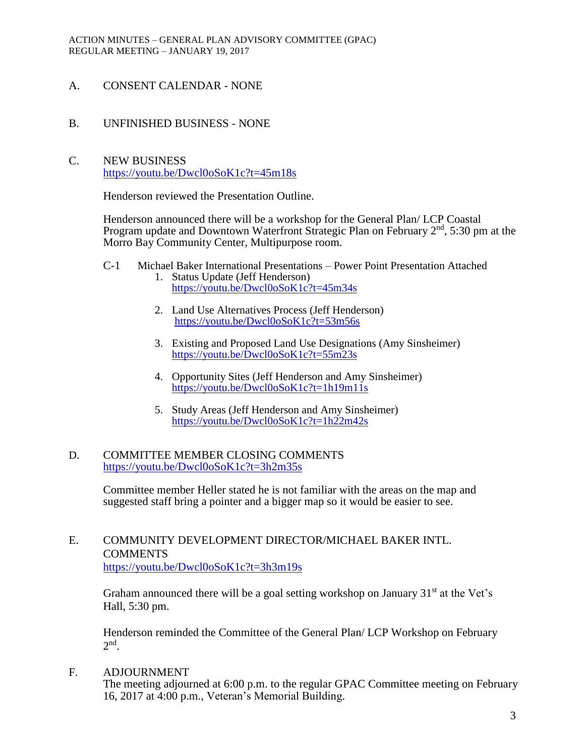- A. CONSENT CALENDAR NONE
- B. UNFINISHED BUSINESS NONE
- C. NEW BUSINESS <https://youtu.be/Dwcl0oSoK1c?t=45m18s>

Henderson reviewed the Presentation Outline.

Henderson announced there will be a workshop for the General Plan/ LCP Coastal Program update and Downtown Waterfront Strategic Plan on February  $2<sup>nd</sup>$ , 5:30 pm at the Morro Bay Community Center, Multipurpose room.

- C-1 Michael Baker International Presentations Power Point Presentation Attached
	- 1. Status Update (Jeff Henderson) <https://youtu.be/Dwcl0oSoK1c?t=45m34s>
	- 2. Land Use Alternatives Process (Jeff Henderson) <https://youtu.be/Dwcl0oSoK1c?t=53m56s>
	- 3. Existing and Proposed Land Use Designations (Amy Sinsheimer) <https://youtu.be/Dwcl0oSoK1c?t=55m23s>
	- 4. Opportunity Sites (Jeff Henderson and Amy Sinsheimer) <https://youtu.be/Dwcl0oSoK1c?t=1h19m11s>
	- 5. Study Areas (Jeff Henderson and Amy Sinsheimer) <https://youtu.be/Dwcl0oSoK1c?t=1h22m42s>

## D. COMMITTEE MEMBER CLOSING COMMENTS <https://youtu.be/Dwcl0oSoK1c?t=3h2m35s>

Committee member Heller stated he is not familiar with the areas on the map and suggested staff bring a pointer and a bigger map so it would be easier to see.

# E. COMMUNITY DEVELOPMENT DIRECTOR/MICHAEL BAKER INTL. **COMMENTS** <https://youtu.be/Dwcl0oSoK1c?t=3h3m19s>

Graham announced there will be a goal setting workshop on January  $31<sup>st</sup>$  at the Vet's Hall, 5:30 pm.

Henderson reminded the Committee of the General Plan/ LCP Workshop on February  $2<sup>nd</sup>$ .

F. ADJOURNMENT

The meeting adjourned at 6:00 p.m. to the regular GPAC Committee meeting on February 16, 2017 at 4:00 p.m., Veteran's Memorial Building.